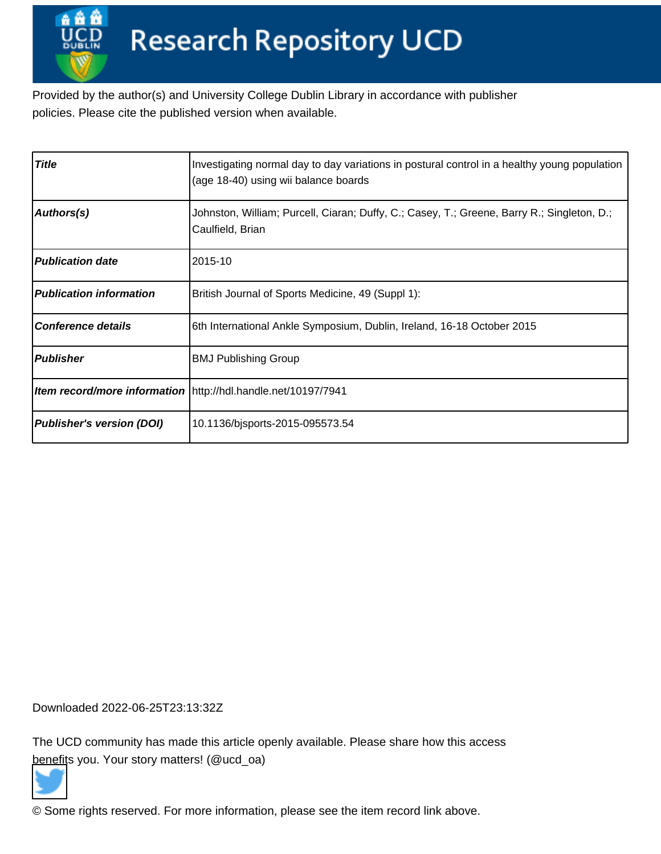Provided by the author(s) and University College Dublin Library in accordance with publisher policies. Please cite the published version when available.

| <b>Title</b>                     | Investigating normal day to day variations in postural control in a healthy young population<br>(age 18-40) using wii balance boards |
|----------------------------------|--------------------------------------------------------------------------------------------------------------------------------------|
| Authors(s)                       | Johnston, William; Purcell, Ciaran; Duffy, C.; Casey, T.; Greene, Barry R.; Singleton, D.;<br>Caulfield, Brian                       |
| <b>Publication date</b>          | 2015-10                                                                                                                              |
| <b>Publication information</b>   | British Journal of Sports Medicine, 49 (Suppl 1):                                                                                    |
| <b>Conference details</b>        | 6th International Ankle Symposium, Dublin, Ireland, 16-18 October 2015                                                               |
| <b>Publisher</b>                 | <b>BMJ Publishing Group</b>                                                                                                          |
|                                  | Item record/more information \http://hdl.handle.net/10197/7941                                                                       |
| <b>Publisher's version (DOI)</b> | 10.1136/bjsports-2015-095573.54                                                                                                      |

Downloaded 2022-06-25T23:13:32Z

The UCD community has made this article openly available. Please share how this access [benefit](https://twitter.com/intent/tweet?via=ucd_oa&text=DOI%3A10.1136%2Fbjsports-2015-095573.54&url=http%3A%2F%2Fhdl.handle.net%2F10197%2F7941)s you. Your story matters! (@ucd\_oa)



© Some rights reserved. For more information, please see the item record link above.